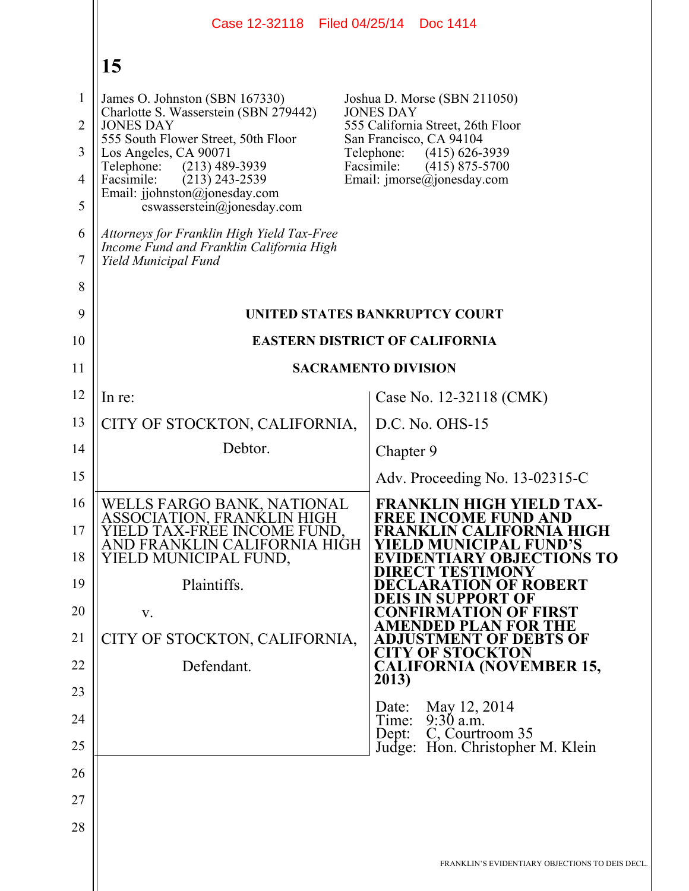|                                                       | Case 12-32118 Filed 04/25/14 Doc 1414                                                                                                                                                                                                                            |                                                                                                                                                                                                                                |
|-------------------------------------------------------|------------------------------------------------------------------------------------------------------------------------------------------------------------------------------------------------------------------------------------------------------------------|--------------------------------------------------------------------------------------------------------------------------------------------------------------------------------------------------------------------------------|
|                                                       | 15                                                                                                                                                                                                                                                               |                                                                                                                                                                                                                                |
| $\mathbf{1}$<br>$\overline{2}$<br>3<br>$\overline{4}$ | James O. Johnston (SBN 167330)<br>Charlotte S. Wasserstein (SBN 279442)<br><b>JONES DAY</b><br>555 South Flower Street, 50th Floor<br>Los Angeles, CA 90071<br>Telephone:<br>$(213)$ 489-3939<br>Facsimile:<br>$(213)$ 243-2539<br>Email: jjohnston@jonesday.com | Joshua D. Morse (SBN 211050)<br><b>JONES DAY</b><br>555 California Street, 26th Floor<br>San Francisco, CA 94104<br>$(415)$ 626-3939<br>Telephone:<br>Facsimile:<br>$(415)$ 875-5700<br>Email: $\text{imorse}(a)$ jonesday.com |
| 5<br>6<br>$\tau$                                      | cswasserstein@jonesday.com<br>Attorneys for Franklin High Yield Tax-Free<br>Income Fund and Franklin California High<br>Yield Municipal Fund                                                                                                                     |                                                                                                                                                                                                                                |
| 8                                                     |                                                                                                                                                                                                                                                                  |                                                                                                                                                                                                                                |
| 9                                                     |                                                                                                                                                                                                                                                                  | UNITED STATES BANKRUPTCY COURT                                                                                                                                                                                                 |
| 10                                                    |                                                                                                                                                                                                                                                                  | <b>EASTERN DISTRICT OF CALIFORNIA</b>                                                                                                                                                                                          |
| 11                                                    |                                                                                                                                                                                                                                                                  | <b>SACRAMENTO DIVISION</b>                                                                                                                                                                                                     |
| 12                                                    | In re:                                                                                                                                                                                                                                                           | Case No. 12-32118 (CMK)                                                                                                                                                                                                        |
| 13                                                    | CITY OF STOCKTON, CALIFORNIA,                                                                                                                                                                                                                                    | D.C. No. OHS-15                                                                                                                                                                                                                |
| 14                                                    | Debtor.                                                                                                                                                                                                                                                          | Chapter 9                                                                                                                                                                                                                      |
| 15                                                    |                                                                                                                                                                                                                                                                  | Adv. Proceeding No. 13-02315-C                                                                                                                                                                                                 |
| 16<br>17<br>18                                        | WELLS FARGO BANK, NATIONAL<br>ASSOCIATION, FRANKLIN HIGH<br>YIELD TAX-FREE INCOME FUND,<br>AND FRANKLIN CALIFORNIA HIGH<br>YIELD MUNICIPAL FUND,                                                                                                                 | <b>FRANKLIN HIGH YIELD TAX-</b><br><b>FREE INCOME FUND AND</b><br>FRANKLIN CALIFORNIA HIGH<br>YIELD MUNICIPAL FUND'S<br><b>EVIDENTIARY OBJECTIONS TO</b><br><b>DIRECT TESTIMONY</b>                                            |
| 19                                                    | Plaintiffs.                                                                                                                                                                                                                                                      | <b>DECLARATION OF ROBERT</b><br><b>DEIS IN SUPPORT OF</b>                                                                                                                                                                      |
| 20<br>21                                              | V.                                                                                                                                                                                                                                                               | <b>CONFIRMATION OF FIRST</b><br><b>AMENDED PLAN FOR THE</b>                                                                                                                                                                    |
| 22                                                    | CITY OF STOCKTON, CALIFORNIA,<br>Defendant.                                                                                                                                                                                                                      | <b>ADJUSTMENT OF DEBTS OF</b><br><b>CITY OF STOCKTON</b><br><b>CALIFORNIA (NOVEMBER 15,</b>                                                                                                                                    |
| 23                                                    |                                                                                                                                                                                                                                                                  | 2013)                                                                                                                                                                                                                          |
| 24                                                    |                                                                                                                                                                                                                                                                  | May 12, 2014<br>Date:<br>$9:30$ a.m.<br>Time:                                                                                                                                                                                  |
| 25                                                    |                                                                                                                                                                                                                                                                  | C, Courtroom 35<br>Dept:<br>Judge: Hon. Christopher M. Klein                                                                                                                                                                   |
| 26                                                    |                                                                                                                                                                                                                                                                  |                                                                                                                                                                                                                                |
| 27                                                    |                                                                                                                                                                                                                                                                  |                                                                                                                                                                                                                                |
| 28                                                    |                                                                                                                                                                                                                                                                  |                                                                                                                                                                                                                                |
|                                                       |                                                                                                                                                                                                                                                                  | FRANKLIN'S EVIDENTIARY OBJECTIONS TO DEIS DECL.                                                                                                                                                                                |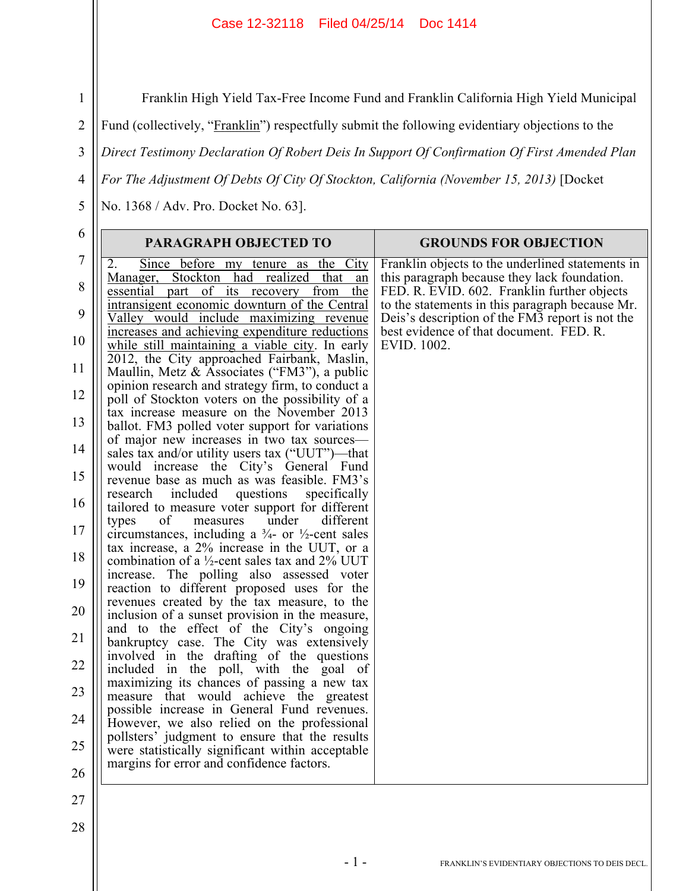Franklin High Yield Tax-Free Income Fund and Franklin California High Yield Municipal

Fund (collectively, "Franklin") respectfully submit the following evidentiary objections to the

3 *Direct Testimony Declaration Of Robert Deis In Support Of Confirmation Of First Amended Plan* 

*For The Adjustment Of Debts Of City Of Stockton, California (November 15, 2013)* [Docket

No. 1368 / Adv. Pro. Docket No. 63].

1

2

4

5

| 6        | <b>PARAGRAPH OBJECTED TO</b>                                                                                                     | <b>GROUNDS FOR OBJECTION</b>                                                                     |
|----------|----------------------------------------------------------------------------------------------------------------------------------|--------------------------------------------------------------------------------------------------|
| $\tau$   | Since before my tenure as the City<br>2.<br>Manager, Stockton had realized<br>that<br>an                                         | Franklin objects to the underlined statements in<br>this paragraph because they lack foundation. |
| 8        | essential part of its recovery<br>from<br>the<br>intransigent economic downturn of the Central                                   | FED. R. EVID. 602. Franklin further objects<br>to the statements in this paragraph because Mr.   |
| 9        | Valley would include maximizing revenue<br>increases and achieving expenditure reductions                                        | Deis's description of the FM3 report is not the<br>best evidence of that document. FED. R.       |
| 10       | while still maintaining a viable city. In early<br>2012, the City approached Fairbank, Maslin,                                   | EVID. 1002.                                                                                      |
| 11       | Maullin, Metz & Associates ("FM3"), a public<br>opinion research and strategy firm, to conduct a                                 |                                                                                                  |
| 12       | poll of Stockton voters on the possibility of a<br>tax increase measure on the November 2013                                     |                                                                                                  |
| 13       | ballot. FM3 polled voter support for variations<br>of major new increases in two tax sources—                                    |                                                                                                  |
| 14       | sales tax and/or utility users tax ("UUT")—that<br>would increase the City's General Fund                                        |                                                                                                  |
| 15       | revenue base as much as was feasible. FM3's<br>questions<br>specifically<br>included<br>research                                 |                                                                                                  |
| 16<br>17 | tailored to measure voter support for different<br>under<br>different<br>of<br>measures<br>types                                 |                                                                                                  |
| 18       | circumstances, including a $\frac{3}{4}$ - or $\frac{1}{2}$ -cent sales<br>tax increase, a $2\%$ increase in the UUT, or a       |                                                                                                  |
| 19       | combination of a $\frac{1}{2}$ -cent sales tax and 2% UUT<br>increase. The polling also assessed voter                           |                                                                                                  |
| 20       | reaction to different proposed uses for the<br>revenues created by the tax measure, to the                                       |                                                                                                  |
| 21       | inclusion of a sunset provision in the measure,<br>and to the effect of the City's ongoing                                       |                                                                                                  |
| 22       | bankruptcy case. The City was extensively<br>involved in the drafting of the questions                                           |                                                                                                  |
| 23       | included in the poll, with the goal of<br>maximizing its chances of passing a new tax<br>measure that would achieve the greatest |                                                                                                  |
| 24       | possible increase in General Fund revenues.<br>However, we also relied on the professional                                       |                                                                                                  |
| 25       | pollsters' judgment to ensure that the results<br>were statistically significant within acceptable                               |                                                                                                  |
| 26       | margins for error and confidence factors.                                                                                        |                                                                                                  |
| 27       |                                                                                                                                  |                                                                                                  |
| 28       |                                                                                                                                  |                                                                                                  |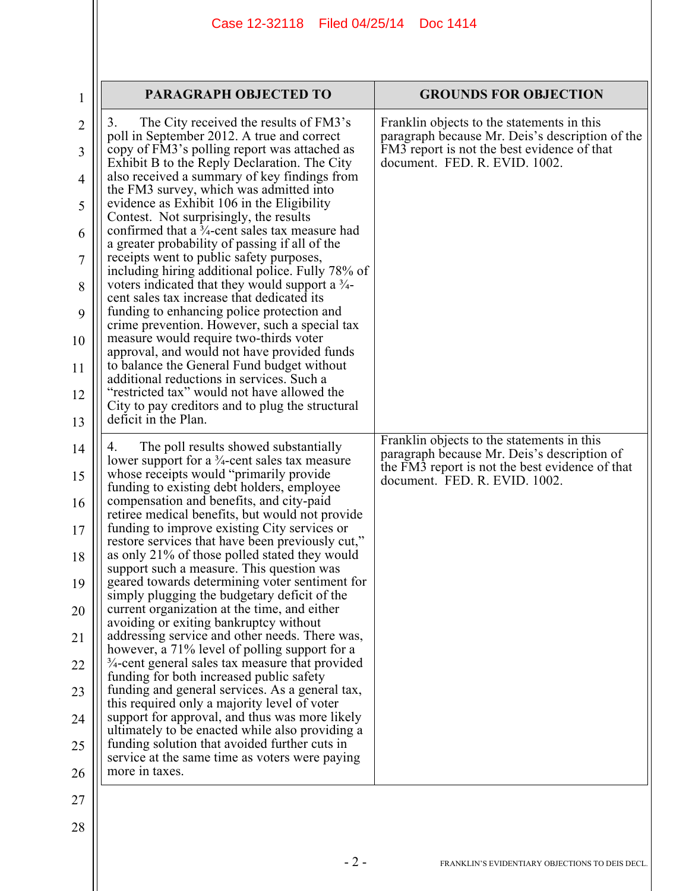| 1                   | PARAGRAPH OBJECTED TO                                                                                                                        | <b>GROUNDS FOR OBJECTION</b>                                                                  |
|---------------------|----------------------------------------------------------------------------------------------------------------------------------------------|-----------------------------------------------------------------------------------------------|
| $\overline{2}$      | The City received the results of FM3's<br>3.<br>poll in September 2012. A true and correct                                                   | Franklin objects to the statements in this<br>paragraph because Mr. Deis's description of the |
| 3<br>$\overline{4}$ | copy of FM3's polling report was attached as<br>Exhibit B to the Reply Declaration. The City<br>also received a summary of key findings from | FM3 report is not the best evidence of that<br>document. FED. R. EVID. 1002.                  |
| 5                   | the FM3 survey, which was admitted into<br>evidence as Exhibit 106 in the Eligibility                                                        |                                                                                               |
| 6                   | Contest. Not surprisingly, the results<br>confirmed that a 3/4-cent sales tax measure had<br>a greater probability of passing if all of the  |                                                                                               |
| 7                   | receipts went to public safety purposes,<br>including hiring additional police. Fully 78% of                                                 |                                                                                               |
| 8                   | voters indicated that they would support a $\frac{3}{4}$ -<br>cent sales tax increase that dedicated its                                     |                                                                                               |
| 9                   | funding to enhancing police protection and<br>crime prevention. However, such a special tax                                                  |                                                                                               |
| 10                  | measure would require two-thirds voter<br>approval, and would not have provided funds                                                        |                                                                                               |
| 11                  | to balance the General Fund budget without<br>additional reductions in services. Such a                                                      |                                                                                               |
| 12                  | "restricted tax" would not have allowed the<br>City to pay creditors and to plug the structural                                              |                                                                                               |
| 13                  | deficit in the Plan.                                                                                                                         |                                                                                               |
| 14                  | The poll results showed substantially<br>4.<br>lower support for a $\frac{3}{4}$ -cent sales tax measure                                     | Franklin objects to the statements in this<br>paragraph because Mr. Deis's description of     |
| 15                  | whose receipts would "primarily provide"<br>funding to existing debt holders, employee                                                       | the FM3 report is not the best evidence of that<br>document. FED. R. EVID. 1002.              |
| 16                  | compensation and benefits, and city-paid<br>retiree medical benefits, but would not provide                                                  |                                                                                               |
| 17                  | funding to improve existing City services or<br>restore services that have been previously cut,"                                             |                                                                                               |
| 18                  | as only 21% of those polled stated they would<br>support such a measure. This question was                                                   |                                                                                               |
| 19                  | geared towards determining voter sentiment for<br>simply plugging the budgetary deficit of the                                               |                                                                                               |
| 20                  | current organization at the time, and either<br>avoiding or exiting bankruptcy without                                                       |                                                                                               |
| 21                  | addressing service and other needs. There was,<br>however, a 71% level of polling support for a                                              |                                                                                               |
| 22                  | $\frac{3}{4}$ -cent general sales tax measure that provided<br>funding for both increased public safety                                      |                                                                                               |
| 23                  | funding and general services. As a general tax,<br>this required only a majority level of voter                                              |                                                                                               |
| 24                  | support for approval, and thus was more likely<br>ultimately to be enacted while also providing a                                            |                                                                                               |
| 25                  | funding solution that avoided further cuts in<br>service at the same time as voters were paying                                              |                                                                                               |
| 26                  | more in taxes.                                                                                                                               |                                                                                               |
| 27                  |                                                                                                                                              |                                                                                               |
| 28                  |                                                                                                                                              |                                                                                               |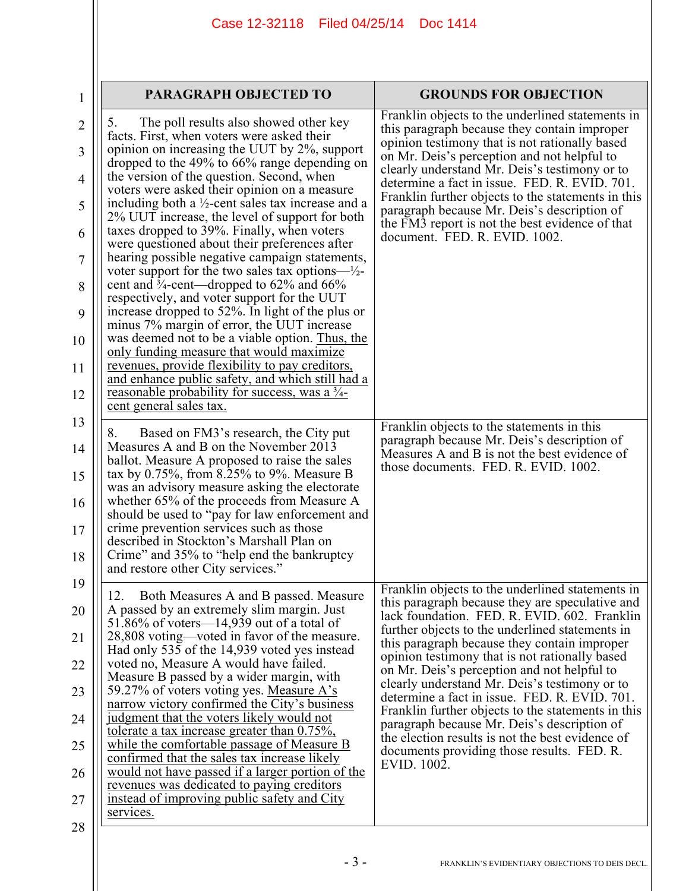| 1                   | <b>PARAGRAPH OBJECTED TO</b>                                                                                                                                    | <b>GROUNDS FOR OBJECTION</b>                                                                                                                       |
|---------------------|-----------------------------------------------------------------------------------------------------------------------------------------------------------------|----------------------------------------------------------------------------------------------------------------------------------------------------|
| $\overline{2}$<br>3 | The poll results also showed other key<br>5.<br>facts. First, when voters were asked their<br>opinion on increasing the UUT by 2%, support                      | Franklin objects to the underlined statements in<br>this paragraph because they contain improper<br>opinion testimony that is not rationally based |
| 4                   | dropped to the $49\%$ to $66\%$ range depending on<br>the version of the question. Second, when                                                                 | on Mr. Deis's perception and not helpful to<br>clearly understand Mr. Deis's testimony or to<br>determine a fact in issue. FED. R. EVID. 701.      |
| 5                   | voters were asked their opinion on a measure<br>including both a $\frac{1}{2}$ -cent sales tax increase and a<br>2% UUT increase, the level of support for both | Franklin further objects to the statements in this<br>paragraph because Mr. Deis's description of                                                  |
| 6                   | taxes dropped to 39%. Finally, when voters<br>were questioned about their preferences after                                                                     | the FM3 report is not the best evidence of that<br>document. FED. R. EVID. 1002.                                                                   |
| 7                   | hearing possible negative campaign statements,<br>voter support for the two sales tax options— $\frac{1}{2}$ -                                                  |                                                                                                                                                    |
| 8                   | cent and $\frac{3}{4}$ -cent—dropped to 62% and 66%<br>respectively, and voter support for the UUT                                                              |                                                                                                                                                    |
| 9                   | increase dropped to 52%. In light of the plus or<br>minus 7% margin of error, the UUT increase<br>was deemed not to be a viable option. Thus, the               |                                                                                                                                                    |
| 10<br>11            | only funding measure that would maximize<br>revenues, provide flexibility to pay creditors,                                                                     |                                                                                                                                                    |
| 12                  | and enhance public safety, and which still had a<br>reasonable probability for success, was a $\frac{3}{4}$ -<br>cent general sales tax.                        |                                                                                                                                                    |
| 13                  | Based on FM3's research, the City put<br>8.                                                                                                                     | Franklin objects to the statements in this                                                                                                         |
| 14                  | Measures A and B on the November 2013<br>ballot. Measure A proposed to raise the sales                                                                          | paragraph because Mr. Deis's description of<br>Measures A and B is not the best evidence of<br>those documents. FED. R. EVID. 1002.                |
| 15                  | tax by $0.75\%$ , from 8.25% to 9%. Measure B<br>was an advisory measure asking the electorate                                                                  |                                                                                                                                                    |
| 16                  | whether 65% of the proceeds from Measure A<br>should be used to "pay for law enforcement and                                                                    |                                                                                                                                                    |
| 17                  | crime prevention services such as those<br>described in Stockton's Marshall Plan on<br>Crime" and 35% to "help end the bankruptcy"                              |                                                                                                                                                    |
| 18<br>19            | and restore other City services."                                                                                                                               |                                                                                                                                                    |
| 20                  | Both Measures A and B passed. Measure<br>12.<br>A passed by an extremely slim margin. Just                                                                      | Franklin objects to the underlined statements in<br>this paragraph because they are speculative and                                                |
| 21                  | 51.86% of voters—14,939 out of a total of<br>28,808 voting—voted in favor of the measure.                                                                       | lack foundation. FED. R. EVID. 602. Franklin<br>further objects to the underlined statements in                                                    |
| 22                  | Had only 535 of the 14,939 voted yes instead<br>voted no, Measure A would have failed.                                                                          | this paragraph because they contain improper<br>opinion testimony that is not rationally based                                                     |
| 23                  | Measure B passed by a wider margin, with<br>59.27% of voters voting yes. Measure A's                                                                            | on Mr. Deis's perception and not helpful to<br>clearly understand Mr. Deis's testimony or to                                                       |
| 24                  | narrow victory confirmed the City's business<br>judgment that the voters likely would not                                                                       | determine a fact in issue. FED. R. EVID. 701.<br>Franklin further objects to the statements in this                                                |
| 25                  | tolerate a tax increase greater than $0.75\%$ ,<br>while the comfortable passage of Measure B                                                                   | paragraph because Mr. Deis's description of<br>the election results is not the best evidence of<br>documents providing those results. FED. R.      |
| 26                  | confirmed that the sales tax increase likely<br>would not have passed if a larger portion of the                                                                | EVID. 1002.                                                                                                                                        |
| 27                  | revenues was dedicated to paying creditors<br>instead of improving public safety and City                                                                       |                                                                                                                                                    |
| 28                  | services.                                                                                                                                                       |                                                                                                                                                    |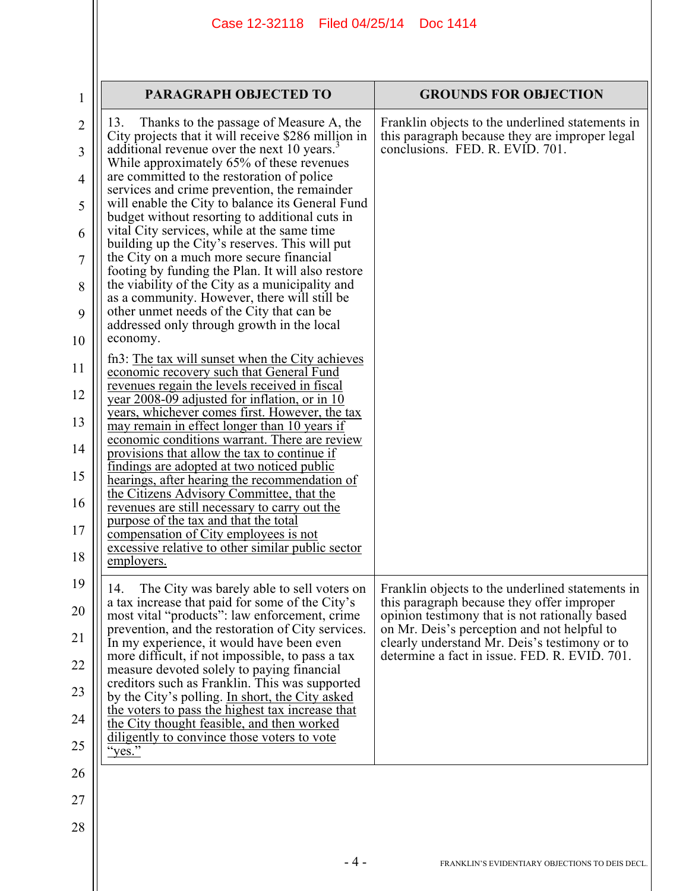| 1                   | PARAGRAPH OBJECTED TO                                                                                                                                            | <b>GROUNDS FOR OBJECTION</b>                                                                                                                  |
|---------------------|------------------------------------------------------------------------------------------------------------------------------------------------------------------|-----------------------------------------------------------------------------------------------------------------------------------------------|
| $\overline{2}$<br>3 | Thanks to the passage of Measure A, the<br>13.<br>City projects that it will receive \$286 million in<br>additional revenue over the next 10 years. <sup>3</sup> | Franklin objects to the underlined statements in<br>this paragraph because they are improper legal<br>conclusions. FED. R. EVID. 701.         |
| $\overline{4}$      | While approximately 65% of these revenues<br>are committed to the restoration of police                                                                          |                                                                                                                                               |
| 5                   | services and crime prevention, the remainder<br>will enable the City to balance its General Fund<br>budget without resorting to additional cuts in               |                                                                                                                                               |
| 6                   | vital City services, while at the same time<br>building up the City's reserves. This will put                                                                    |                                                                                                                                               |
| 7                   | the City on a much more secure financial<br>footing by funding the Plan. It will also restore                                                                    |                                                                                                                                               |
| 8                   | the viability of the City as a municipality and<br>as a community. However, there will still be                                                                  |                                                                                                                                               |
| 9                   | other unmet needs of the City that can be<br>addressed only through growth in the local<br>economy.                                                              |                                                                                                                                               |
| 10                  | fn3: The tax will sunset when the City achieves                                                                                                                  |                                                                                                                                               |
| 11                  | economic recovery such that General Fund<br>revenues regain the levels received in fiscal                                                                        |                                                                                                                                               |
| 12<br>13            | year 2008-09 adjusted for inflation, or in 10<br>years, whichever comes first. However, the tax                                                                  |                                                                                                                                               |
| 14                  | may remain in effect longer than 10 years if<br>economic conditions warrant. There are review                                                                    |                                                                                                                                               |
| 15                  | provisions that allow the tax to continue if<br>findings are adopted at two noticed public<br>hearings, after hearing the recommendation of                      |                                                                                                                                               |
| 16                  | the Citizens Advisory Committee, that the<br>revenues are still necessary to carry out the                                                                       |                                                                                                                                               |
| 17                  | purpose of the tax and that the total<br>compensation of City employees is not                                                                                   |                                                                                                                                               |
| 18                  | excessive relative to other similar public sector<br>employers.                                                                                                  |                                                                                                                                               |
| 19                  | The City was barely able to sell voters on<br>14.                                                                                                                | Franklin objects to the underlined statements in                                                                                              |
| 20                  | a tax increase that paid for some of the City's<br>most vital "products": law enforcement, crime                                                                 | this paragraph because they offer improper<br>opinion testimony that is not rationally based                                                  |
| 21                  | prevention, and the restoration of City services.<br>In my experience, it would have been even                                                                   | on Mr. Deis's perception and not helpful to<br>clearly understand Mr. Deis's testimony or to<br>determine a fact in issue. FED. R. EVID. 701. |
| 22                  | more difficult, if not impossible, to pass a tax<br>measure devoted solely to paying financial                                                                   |                                                                                                                                               |
| 23                  | creditors such as Franklin. This was supported<br>by the City's polling. In short, the City asked                                                                |                                                                                                                                               |
| 24                  | the voters to pass the highest tax increase that<br>the City thought feasible, and then worked<br>diligently to convince those voters to vote                    |                                                                                                                                               |
| 25                  | $\sqrt{\text{yes.}}$                                                                                                                                             |                                                                                                                                               |
| 26                  |                                                                                                                                                                  |                                                                                                                                               |
| 27                  |                                                                                                                                                                  |                                                                                                                                               |
| 28                  |                                                                                                                                                                  |                                                                                                                                               |
|                     | - 4 -                                                                                                                                                            | FRANKLIN'S EVIDENTIARY OBJECTIONS TO DEIS DECL.                                                                                               |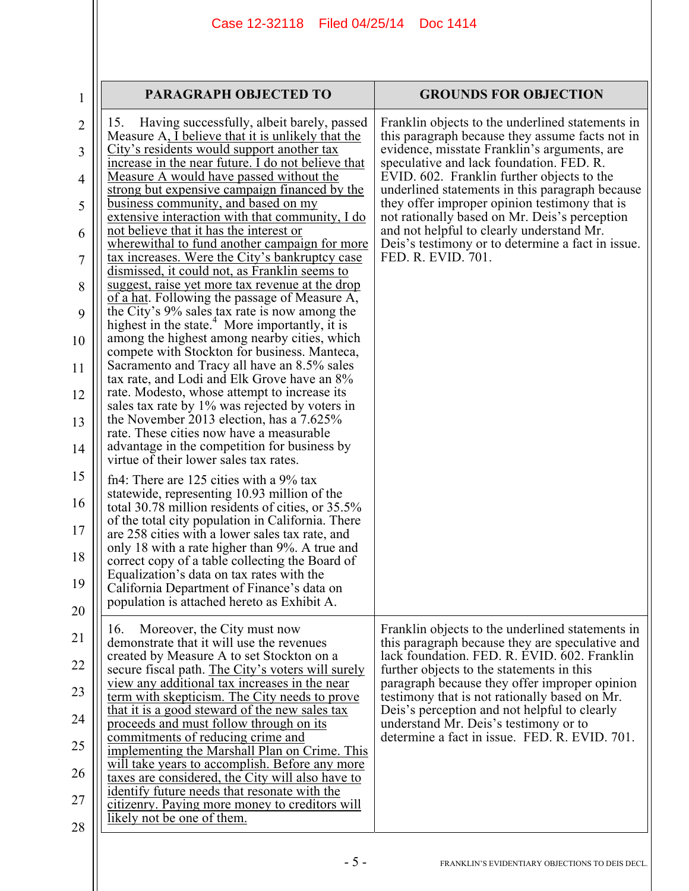| $\mathbf 1$         | <b>PARAGRAPH OBJECTED TO</b>                                                                                                                                                                                                                          | <b>GROUNDS FOR OBJECTION</b>                                                                                                                                                                                                                  |
|---------------------|-------------------------------------------------------------------------------------------------------------------------------------------------------------------------------------------------------------------------------------------------------|-----------------------------------------------------------------------------------------------------------------------------------------------------------------------------------------------------------------------------------------------|
| $\overline{2}$<br>3 | Having successfully, albeit barely, passed<br>15.<br>Measure A, I believe that it is unlikely that the<br>City's residents would support another tax<br>increase in the near future. I do not believe that<br>Measure A would have passed without the | Franklin objects to the underlined statements in<br>this paragraph because they assume facts not in<br>evidence, misstate Franklin's arguments, are<br>speculative and lack foundation. FED. R.<br>EVID. 602. Franklin further objects to the |
| 4<br>5              | strong but expensive campaign financed by the<br>business community, and based on my<br>extensive interaction with that community, I do                                                                                                               | underlined statements in this paragraph because<br>they offer improper opinion testimony that is<br>not rationally based on Mr. Deis's perception                                                                                             |
| 6                   | not believe that it has the interest or                                                                                                                                                                                                               | and not helpful to clearly understand Mr.                                                                                                                                                                                                     |
| 7                   | wherewithal to fund another campaign for more<br>tax increases. Were the City's bankruptcy case                                                                                                                                                       | Deis's testimony or to determine a fact in issue.<br>FED. R. EVID. 701.                                                                                                                                                                       |
| 8                   | dismissed, it could not, as Franklin seems to<br>suggest, raise yet more tax revenue at the drop                                                                                                                                                      |                                                                                                                                                                                                                                               |
| 9                   | of a hat. Following the passage of Measure A,<br>the City's 9% sales tax rate is now among the                                                                                                                                                        |                                                                                                                                                                                                                                               |
| 10                  | highest in the state. <sup>4</sup> More importantly, it is<br>among the highest among nearby cities, which<br>compete with Stockton for business. Manteca,                                                                                            |                                                                                                                                                                                                                                               |
| 11                  | Sacramento and Tracy all have an 8.5% sales<br>tax rate, and Lodi and Elk Grove have an 8%                                                                                                                                                            |                                                                                                                                                                                                                                               |
| 12                  | rate. Modesto, whose attempt to increase its<br>sales tax rate by 1% was rejected by voters in                                                                                                                                                        |                                                                                                                                                                                                                                               |
| 13                  | the November 2013 election, has a 7.625%<br>rate. These cities now have a measurable                                                                                                                                                                  |                                                                                                                                                                                                                                               |
| 14                  | advantage in the competition for business by<br>virtue of their lower sales tax rates.                                                                                                                                                                |                                                                                                                                                                                                                                               |
| 15                  | fn4: There are 125 cities with a 9% tax                                                                                                                                                                                                               |                                                                                                                                                                                                                                               |
| 16                  | statewide, representing 10.93 million of the<br>total 30.78 million residents of cities, or 35.5%                                                                                                                                                     |                                                                                                                                                                                                                                               |
| 17                  | of the total city population in California. There<br>are 258 cities with a lower sales tax rate, and                                                                                                                                                  |                                                                                                                                                                                                                                               |
| 18                  | only 18 with a rate higher than 9%. A true and<br>correct copy of a table collecting the Board of                                                                                                                                                     |                                                                                                                                                                                                                                               |
| 19                  | Equalization's data on tax rates with the<br>California Department of Finance's data on                                                                                                                                                               |                                                                                                                                                                                                                                               |
| 20                  | population is attached hereto as Exhibit A.                                                                                                                                                                                                           |                                                                                                                                                                                                                                               |
| 21                  | Moreover, the City must now<br>16.<br>demonstrate that it will use the revenues<br>created by Measure A to set Stockton on a                                                                                                                          | Franklin objects to the underlined statements in<br>this paragraph because they are speculative and<br>lack foundation. FED. R. EVID. 602. Franklin                                                                                           |
| 22                  | secure fiscal path. The City's voters will surely<br>view any additional tax increases in the near                                                                                                                                                    | further objects to the statements in this<br>paragraph because they offer improper opinion                                                                                                                                                    |
| 23                  | term with skepticism. The City needs to prove<br>that it is a good steward of the new sales tax                                                                                                                                                       | testimony that is not rationally based on Mr.<br>Deis's perception and not helpful to clearly                                                                                                                                                 |
| 24                  | proceeds and must follow through on its<br>commitments of reducing crime and                                                                                                                                                                          | understand Mr. Deis's testimony or to<br>determine a fact in issue. FED. R. EVID. 701.                                                                                                                                                        |
| 25                  | implementing the Marshall Plan on Crime. This                                                                                                                                                                                                         |                                                                                                                                                                                                                                               |
| 26                  | will take years to accomplish. Before any more<br>taxes are considered, the City will also have to                                                                                                                                                    |                                                                                                                                                                                                                                               |
| 27                  | identify future needs that resonate with the<br>citizenry. Paying more money to creditors will                                                                                                                                                        |                                                                                                                                                                                                                                               |
| 28                  | likely not be one of them.                                                                                                                                                                                                                            |                                                                                                                                                                                                                                               |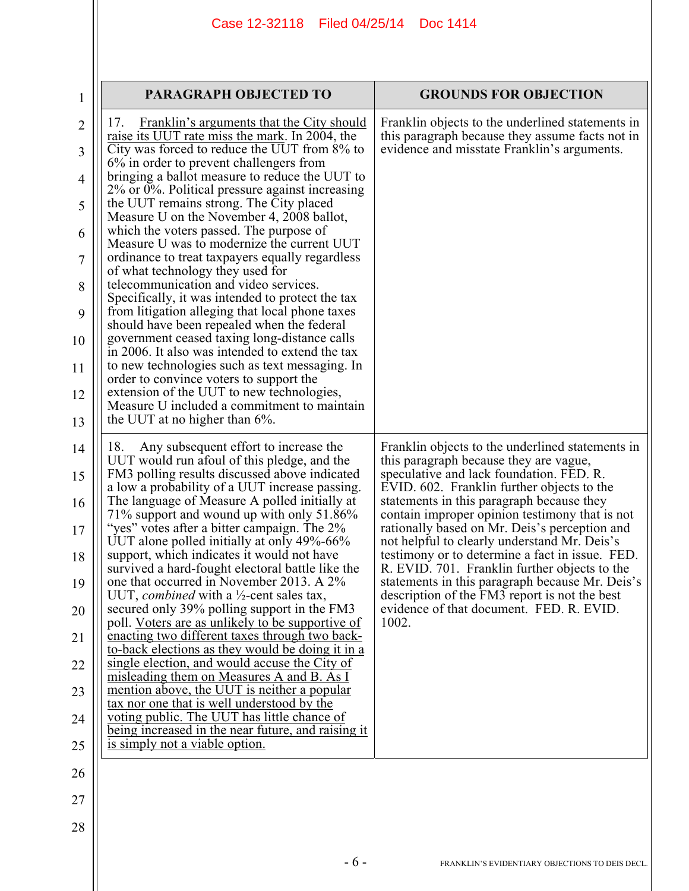| 1                        | <b>PARAGRAPH OBJECTED TO</b>                                                                                                                                                                                                                    | <b>GROUNDS FOR OBJECTION</b>                                                                                                                       |
|--------------------------|-------------------------------------------------------------------------------------------------------------------------------------------------------------------------------------------------------------------------------------------------|----------------------------------------------------------------------------------------------------------------------------------------------------|
| $\overline{2}$<br>3<br>4 | Franklin's arguments that the City should<br>17.<br>raise its UUT rate miss the mark. In 2004, the<br>City was forced to reduce the UUT from 8% to<br>6% in order to prevent challengers from<br>bringing a ballot measure to reduce the UUT to | Franklin objects to the underlined statements in<br>this paragraph because they assume facts not in<br>evidence and misstate Franklin's arguments. |
| 5                        | 2% or 0%. Political pressure against increasing<br>the UUT remains strong. The City placed<br>Measure U on the November 4, 2008 ballot,                                                                                                         |                                                                                                                                                    |
| 6                        | which the voters passed. The purpose of<br>Measure U was to modernize the current UUT                                                                                                                                                           |                                                                                                                                                    |
| 7                        | ordinance to treat taxpayers equally regardless<br>of what technology they used for                                                                                                                                                             |                                                                                                                                                    |
| 8<br>9                   | telecommunication and video services.<br>Specifically, it was intended to protect the tax<br>from litigation alleging that local phone taxes                                                                                                    |                                                                                                                                                    |
| 10                       | should have been repealed when the federal<br>government ceased taxing long-distance calls<br>in 2006. It also was intended to extend the tax                                                                                                   |                                                                                                                                                    |
| 11                       | to new technologies such as text messaging. In<br>order to convince voters to support the                                                                                                                                                       |                                                                                                                                                    |
| 12                       | extension of the UUT to new technologies,<br>Measure U included a commitment to maintain                                                                                                                                                        |                                                                                                                                                    |
| 13                       | the UUT at no higher than $6\%$ .                                                                                                                                                                                                               |                                                                                                                                                    |
| 14                       | Any subsequent effort to increase the<br>18.<br>UUT would run afoul of this pledge, and the                                                                                                                                                     | Franklin objects to the underlined statements in<br>this paragraph because they are vague,                                                         |
| 15                       | FM3 polling results discussed above indicated<br>a low a probability of a UUT increase passing.                                                                                                                                                 | speculative and lack foundation. FED. R.<br>EVID. 602. Franklin further objects to the                                                             |
| 16                       | The language of Measure A polled initially at<br>71% support and wound up with only 51.86%                                                                                                                                                      | statements in this paragraph because they<br>contain improper opinion testimony that is not                                                        |
| 17                       | "yes" votes after a bitter campaign. The 2%<br>UUT alone polled initially at only 49%-66%                                                                                                                                                       | rationally based on Mr. Deis's perception and<br>not helpful to clearly understand Mr. Deis's                                                      |
| 18                       | support, which indicates it would not have<br>survived a hard-fought electoral battle like the                                                                                                                                                  | testimony or to determine a fact in issue. FED.<br>R. EVID. 701. Franklin further objects to the                                                   |
| 19<br>20                 | one that occurred in November 2013. A 2%<br>UUT, combined with a $\frac{1}{2}$ -cent sales tax,<br>secured only 39% polling support in the FM3                                                                                                  | statements in this paragraph because Mr. Deis's<br>description of the FM3 report is not the best<br>evidence of that document. FED. R. EVID.       |
| 21                       | poll. Voters are as unlikely to be supportive of<br>enacting two different taxes through two back-                                                                                                                                              | 1002.                                                                                                                                              |
| 22                       | to-back elections as they would be doing it in a<br>single election, and would accuse the City of                                                                                                                                               |                                                                                                                                                    |
| 23                       | misleading them on Measures A and B. As I<br>mention above, the UUT is neither a popular                                                                                                                                                        |                                                                                                                                                    |
| 24                       | tax nor one that is well understood by the<br>voting public. The UUT has little chance of                                                                                                                                                       |                                                                                                                                                    |
| 25                       | being increased in the near future, and raising it<br>is simply not a viable option.                                                                                                                                                            |                                                                                                                                                    |
| 26                       |                                                                                                                                                                                                                                                 |                                                                                                                                                    |
| 27                       |                                                                                                                                                                                                                                                 |                                                                                                                                                    |
| 28                       |                                                                                                                                                                                                                                                 |                                                                                                                                                    |
|                          | $-6-$                                                                                                                                                                                                                                           | FRANKLIN'S EVIDENTIARY OBJECTIONS TO DEIS DECL.                                                                                                    |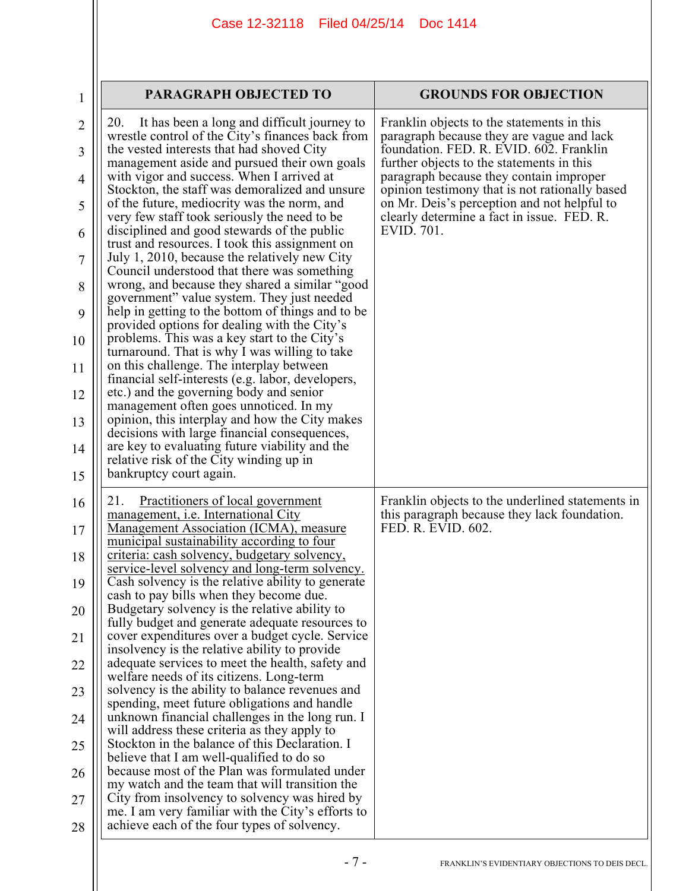| $\mathbf{1}$        | <b>PARAGRAPH OBJECTED TO</b>                                                                                                                        | <b>GROUNDS FOR OBJECTION</b>                                                                                                                |
|---------------------|-----------------------------------------------------------------------------------------------------------------------------------------------------|---------------------------------------------------------------------------------------------------------------------------------------------|
| $\overline{2}$<br>3 | It has been a long and difficult journey to<br>20.<br>wrestle control of the City's finances back from<br>the vested interests that had shoved City | Franklin objects to the statements in this<br>paragraph because they are vague and lack<br>foundation. FED. R. EVID. 602. Franklin          |
| $\overline{4}$      | management aside and pursued their own goals<br>with vigor and success. When I arrived at                                                           | further objects to the statements in this<br>paragraph because they contain improper                                                        |
| 5                   | Stockton, the staff was demoralized and unsure<br>of the future, mediocrity was the norm, and<br>very few staff took seriously the need to be       | opinion testimony that is not rationally based<br>on Mr. Deis's perception and not helpful to<br>clearly determine a fact in issue. FED. R. |
| 6                   | disciplined and good stewards of the public                                                                                                         | EVID. 701.                                                                                                                                  |
| $\overline{7}$      | trust and resources. I took this assignment on<br>July 1, 2010, because the relatively new City                                                     |                                                                                                                                             |
| 8                   | Council understood that there was something<br>wrong, and because they shared a similar "good"<br>government" value system. They just needed        |                                                                                                                                             |
| 9                   | help in getting to the bottom of things and to be<br>provided options for dealing with the City's                                                   |                                                                                                                                             |
| 10                  | problems. This was a key start to the City's<br>turnaround. That is why I was willing to take                                                       |                                                                                                                                             |
| 11                  | on this challenge. The interplay between<br>financial self-interests (e.g. labor, developers,                                                       |                                                                                                                                             |
| 12                  | etc.) and the governing body and senior<br>management often goes unnoticed. In my                                                                   |                                                                                                                                             |
| 13                  | opinion, this interplay and how the City makes<br>decisions with large financial consequences,                                                      |                                                                                                                                             |
| 14                  | are key to evaluating future viability and the<br>relative risk of the City winding up in<br>bankruptcy court again.                                |                                                                                                                                             |
| 15                  |                                                                                                                                                     |                                                                                                                                             |
| 16                  | 21.<br><u>Practitioners of local government</u><br>management, <i>i.e.</i> International City<br>Management Association (ICMA), measure             | Franklin objects to the underlined statements in<br>this paragraph because they lack foundation.<br>FED. R. EVID. 602.                      |
| 17                  | municipal sustainability according to four<br>criteria: cash solvency, budgetary solvency,                                                          |                                                                                                                                             |
| 18                  | service-level solvency and long-term solvency.<br>Cash solvency is the relative ability to generate                                                 |                                                                                                                                             |
| 19                  | cash to pay bills when they become due.<br>Budgetary solvency is the relative ability to                                                            |                                                                                                                                             |
| 20<br>21            | fully budget and generate adequate resources to<br>cover expenditures over a budget cycle. Service                                                  |                                                                                                                                             |
| 22                  | insolvency is the relative ability to provide<br>adequate services to meet the health, safety and                                                   |                                                                                                                                             |
| 23                  | welfare needs of its citizens. Long-term<br>solvency is the ability to balance revenues and                                                         |                                                                                                                                             |
| 24                  | spending, meet future obligations and handle<br>unknown financial challenges in the long run. I                                                     |                                                                                                                                             |
| 25                  | will address these criteria as they apply to<br>Stockton in the balance of this Declaration. I                                                      |                                                                                                                                             |
| 26                  | believe that I am well-qualified to do so<br>because most of the Plan was formulated under                                                          |                                                                                                                                             |
| 27                  | my watch and the team that will transition the<br>City from insolvency to solvency was hired by                                                     |                                                                                                                                             |
| 28                  | me. I am very familiar with the City's efforts to<br>achieve each of the four types of solvency.                                                    |                                                                                                                                             |
|                     |                                                                                                                                                     |                                                                                                                                             |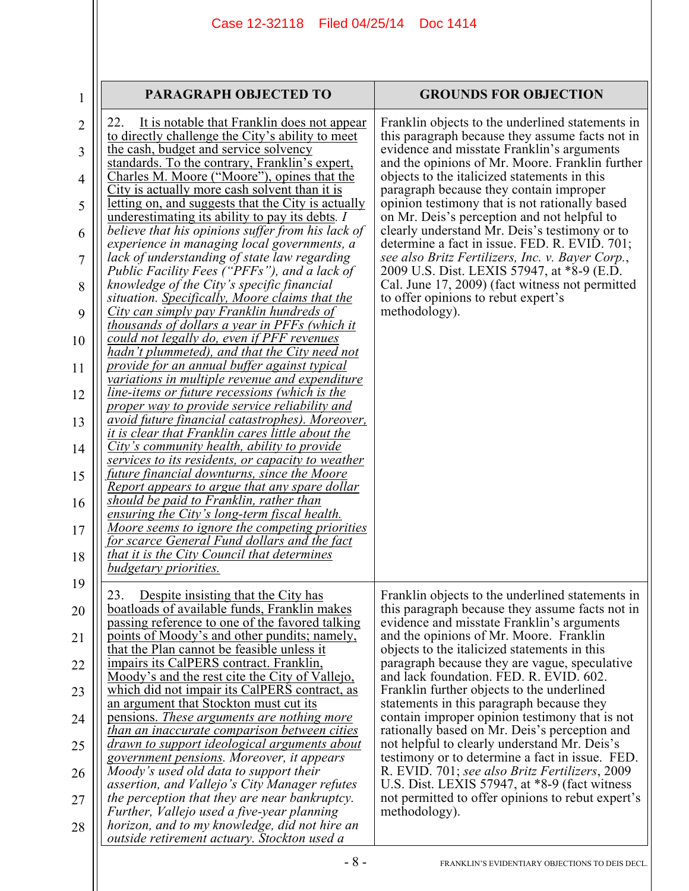| 1                   | <b>PARAGRAPH OBJECTED TO</b>                                                                                                                           | <b>GROUNDS FOR OBJECTION</b>                                                                                                                      |
|---------------------|--------------------------------------------------------------------------------------------------------------------------------------------------------|---------------------------------------------------------------------------------------------------------------------------------------------------|
| $\overline{2}$<br>3 | It is notable that Franklin does not appear<br>22.<br>to directly challenge the City's ability to meet<br>the cash, budget and service solvency        | Franklin objects to the underlined statements in<br>this paragraph because they assume facts not in<br>evidence and misstate Franklin's arguments |
| 4                   | standards. To the contrary, Franklin's expert,<br>Charles M. Moore ("Moore"), opines that the                                                          | and the opinions of Mr. Moore. Franklin further<br>objects to the italicized statements in this                                                   |
| 5                   | City is actually more cash solvent than it is<br>letting on, and suggests that the City is actually<br>underestimating its ability to pay its debts. I | paragraph because they contain improper<br>opinion testimony that is not rationally based<br>on Mr. Deis's perception and not helpful to          |
| 6                   | believe that his opinions suffer from his lack of<br>experience in managing local governments, a                                                       | clearly understand Mr. Deis's testimony or to<br>determine a fact in issue. FED. R. EVID. 701;                                                    |
| $\overline{7}$      | lack of understanding of state law regarding<br>Public Facility Fees ("PFFs"), and a lack of                                                           | see also Britz Fertilizers, Inc. v. Bayer Corp.,<br>2009 U.S. Dist. LEXIS 57947, at *8-9 (E.D.                                                    |
| 8                   | knowledge of the City's specific financial<br>situation. Specifically, Moore claims that the<br>City can simply pay Franklin hundreds of               | Cal. June 17, 2009) (fact witness not permitted<br>to offer opinions to rebut expert's<br>methodology).                                           |
| 9<br>10             | thousands of dollars a year in PFFs (which it<br>could not legally do, even if PFF revenues                                                            |                                                                                                                                                   |
| 11                  | hadn't plummeted), and that the City need not<br>provide for an annual buffer against typical                                                          |                                                                                                                                                   |
| 12                  | variations in multiple revenue and expenditure<br><i>line-items or future recessions (which is the</i>                                                 |                                                                                                                                                   |
| 13                  | proper way to provide service reliability and<br>avoid future financial catastrophes). Moreover,                                                       |                                                                                                                                                   |
| 14                  | it is clear that Franklin cares little about the<br>City's community health, ability to provide                                                        |                                                                                                                                                   |
| 15                  | services to its residents, or capacity to weather<br>future financial downturns, since the Moore                                                       |                                                                                                                                                   |
| 16                  | Report appears to argue that any spare dollar<br>should be paid to Franklin, rather than<br>ensuring the City's long-term fiscal health.               |                                                                                                                                                   |
| 17                  | Moore seems to ignore the competing priorities<br>for scarce General Fund dollars and the fact                                                         |                                                                                                                                                   |
| 18                  | that it is the City Council that determines<br>budgetary priorities.                                                                                   |                                                                                                                                                   |
| 19                  | 23.<br>Despite insisting that the City has                                                                                                             | Franklin objects to the underlined statements in                                                                                                  |
| 20                  | boatloads of available funds, Franklin makes<br>passing reference to one of the favored talking                                                        | this paragraph because they assume facts not in<br>evidence and misstate Franklin's arguments                                                     |
| 21                  | points of Moody's and other pundits; namely,<br>that the Plan cannot be feasible unless it                                                             | and the opinions of Mr. Moore. Franklin<br>objects to the italicized statements in this                                                           |
| 22                  | impairs its CalPERS contract. Franklin,<br>Moody's and the rest cite the City of Vallejo,                                                              | paragraph because they are vague, speculative<br>and lack foundation. FED. R. EVID. 602.                                                          |
| 23                  | which did not impair its CalPERS contract, as<br>an argument that Stockton must cut its                                                                | Franklin further objects to the underlined<br>statements in this paragraph because they                                                           |
| 24                  | pensions. These arguments are nothing more<br>than an inaccurate comparison between cities                                                             | contain improper opinion testimony that is not<br>rationally based on Mr. Deis's perception and                                                   |
| 25                  | drawn to support ideological arguments about<br>government pensions. Moreover, it appears                                                              | not helpful to clearly understand Mr. Deis's<br>testimony or to determine a fact in issue. FED.                                                   |
| 26                  | Moody's used old data to support their<br>assertion, and Vallejo's City Manager refutes                                                                | R. EVID. 701; see also Britz Fertilizers, 2009<br>U.S. Dist. LEXIS 57947, at $*8-9$ (fact witness                                                 |
| 27                  | the perception that they are near bankruptcy.                                                                                                          | not permitted to offer opinions to rebut expert's                                                                                                 |
| 28                  | Further, Vallejo used a five-year planning<br>horizon, and to my knowledge, did not hire an<br>outside retirement actuary. Stockton used a             | methodology).                                                                                                                                     |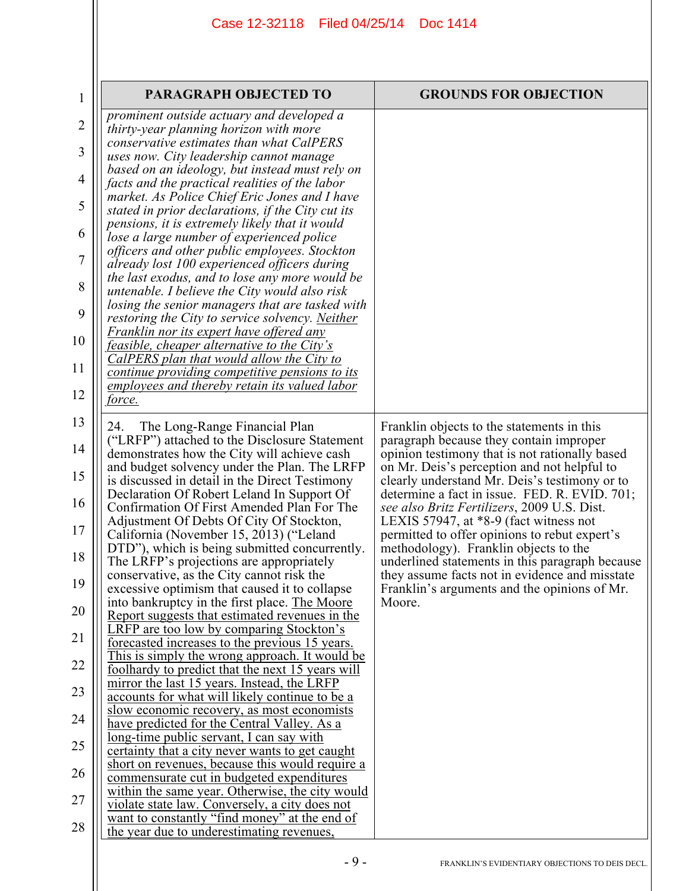| 1              | <b>PARAGRAPH OBJECTED TO</b>                                                                                                    | <b>GROUNDS FOR OBJECTION</b>                                                                   |
|----------------|---------------------------------------------------------------------------------------------------------------------------------|------------------------------------------------------------------------------------------------|
| $\overline{2}$ | prominent outside actuary and developed a<br>thirty-year planning horizon with more<br>conservative estimates than what CalPERS |                                                                                                |
| 3              | uses now. City leadership cannot manage                                                                                         |                                                                                                |
| 4              | based on an ideology, but instead must rely on<br>facts and the practical realities of the labor                                |                                                                                                |
| 5              | market. As Police Chief Eric Jones and I have<br>stated in prior declarations, if the City cut its                              |                                                                                                |
| 6              | pensions, it is extremely likely that it would<br>lose a large number of experienced police                                     |                                                                                                |
| 7              | officers and other public employees. Stockton<br>already lost 100 experienced officers during                                   |                                                                                                |
| 8              | the last exodus, and to lose any more would be<br>untenable. I believe the City would also risk                                 |                                                                                                |
| 9              | losing the senior managers that are tasked with<br>restoring the City to service solvency. Neither                              |                                                                                                |
| 10             | <b>Franklin nor its expert have offered any</b><br>feasible, cheaper alternative to the City's                                  |                                                                                                |
| 11             | CalPERS plan that would allow the City to<br>continue providing competitive pensions to its                                     |                                                                                                |
| 12             | employees and thereby retain its valued labor<br>force.                                                                         |                                                                                                |
| 13             | The Long-Range Financial Plan<br>24.                                                                                            | Franklin objects to the statements in this                                                     |
| 14             | ("LRFP") attached to the Disclosure Statement<br>demonstrates how the City will achieve cash                                    | paragraph because they contain improper<br>opinion testimony that is not rationally based      |
| 15             | and budget solvency under the Plan. The LRFP<br>is discussed in detail in the Direct Testimony                                  | on Mr. Deis's perception and not helpful to<br>clearly understand Mr. Deis's testimony or to   |
| 16             | Declaration Of Robert Leland In Support Of<br>Confirmation Of First Amended Plan For The                                        | determine a fact in issue. FED. R. EVID. 701;<br>see also Britz Fertilizers, 2009 U.S. Dist.   |
| 17             | Adjustment Of Debts Of City Of Stockton,<br>California (November 15, 2013) ("Leland                                             | LEXIS 57947, at $*8-9$ (fact witness not<br>permitted to offer opinions to rebut expert's      |
| 18             | DTD"), which is being submitted concurrently.<br>The LRFP's projections are appropriately                                       | methodology). Franklin objects to the<br>underlined statements in this paragraph because       |
| 19             | conservative, as the City cannot risk the<br>excessive optimism that caused it to collapse                                      | they assume facts not in evidence and misstate<br>Franklin's arguments and the opinions of Mr. |
| 20             | into bankruptcy in the first place. The Moore<br>Report suggests that estimated revenues in the                                 | Moore.                                                                                         |
| 21             | <b>LRFP</b> are too low by comparing Stockton's<br>forecasted increases to the previous 15 years.                               |                                                                                                |
| 22             | This is simply the wrong approach. It would be<br>foolhardy to predict that the next 15 years will                              |                                                                                                |
| 23             | mirror the last 15 years. Instead, the LRFP<br>accounts for what will likely continue to be a                                   |                                                                                                |
| 24             | slow economic recovery, as most economists<br>have predicted for the Central Valley. As a                                       |                                                                                                |
| 25             | long-time public servant, I can say with<br>certainty that a city never wants to get caught                                     |                                                                                                |
| 26             | short on revenues, because this would require a<br>commensurate cut in budgeted expenditures                                    |                                                                                                |
| 27             | within the same year. Otherwise, the city would<br>violate state law. Conversely, a city does not                               |                                                                                                |
| 28             | want to constantly "find money" at the end of<br>the year due to underestimating revenues.                                      |                                                                                                |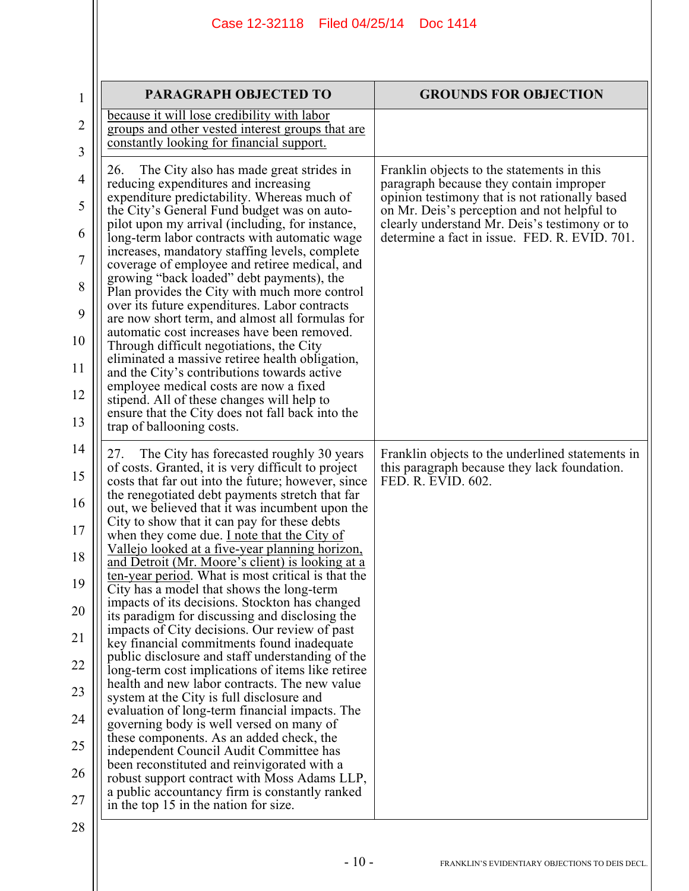|                                                                                  | Case 12-32118<br>Filed 04/25/14<br>Doc 1414                                                                                                                                                                                                                                                                                                                                                                                                                                                                                                                                                                                                                                                                                                                                                                                                                                                                                                                                                                                                                                                                                                                                                                                                                                                                                                                                       |                                                                                                                                                                                                                                                                                          |
|----------------------------------------------------------------------------------|-----------------------------------------------------------------------------------------------------------------------------------------------------------------------------------------------------------------------------------------------------------------------------------------------------------------------------------------------------------------------------------------------------------------------------------------------------------------------------------------------------------------------------------------------------------------------------------------------------------------------------------------------------------------------------------------------------------------------------------------------------------------------------------------------------------------------------------------------------------------------------------------------------------------------------------------------------------------------------------------------------------------------------------------------------------------------------------------------------------------------------------------------------------------------------------------------------------------------------------------------------------------------------------------------------------------------------------------------------------------------------------|------------------------------------------------------------------------------------------------------------------------------------------------------------------------------------------------------------------------------------------------------------------------------------------|
| 1                                                                                | PARAGRAPH OBJECTED TO                                                                                                                                                                                                                                                                                                                                                                                                                                                                                                                                                                                                                                                                                                                                                                                                                                                                                                                                                                                                                                                                                                                                                                                                                                                                                                                                                             | <b>GROUNDS FOR OBJECTION</b>                                                                                                                                                                                                                                                             |
| 2<br>3                                                                           | because it will lose credibility with labor<br>groups and other vested interest groups that are<br>constantly looking for financial support.                                                                                                                                                                                                                                                                                                                                                                                                                                                                                                                                                                                                                                                                                                                                                                                                                                                                                                                                                                                                                                                                                                                                                                                                                                      |                                                                                                                                                                                                                                                                                          |
| 4<br>5<br>6<br>7<br>8<br>9<br>10<br>11<br>12<br>13                               | The City also has made great strides in<br>26.<br>reducing expenditures and increasing<br>expenditure predictability. Whereas much of<br>the City's General Fund budget was on auto-<br>pilot upon my arrival (including, for instance,<br>long-term labor contracts with automatic wage<br>increases, mandatory staffing levels, complete<br>coverage of employee and retiree medical, and<br>growing "back loaded" debt payments), the<br>Plan provides the City with much more control<br>over its future expenditures. Labor contracts<br>are now short term, and almost all formulas for<br>automatic cost increases have been removed.<br>Through difficult negotiations, the City<br>eliminated a massive retiree health obligation,<br>and the City's contributions towards active<br>employee medical costs are now a fixed<br>stipend. All of these changes will help to<br>ensure that the City does not fall back into the<br>trap of ballooning costs.                                                                                                                                                                                                                                                                                                                                                                                                               | Franklin objects to the statements in this<br>paragraph because they contain improper<br>opinion testimony that is not rationally based<br>on Mr. Deis's perception and not helpful to<br>clearly understand Mr. Deis's testimony or to<br>determine a fact in issue. FED. R. EVID. 701. |
| 14<br>15<br>16<br>17<br>18<br>19<br>20<br>21<br>22<br>23<br>24<br>25<br>26<br>27 | 27.<br>The City has forecasted roughly 30 years<br>of costs. Granted, it is very difficult to project<br>costs that far out into the future; however, since<br>the renegotiated debt payments stretch that far<br>out, we believed that it was incumbent upon the<br>City to show that it can pay for these debts<br>when they come due. <u>I note that the City of</u><br><u>Vallejo looked at a five-year planning horizon,</u><br>and Detroit (Mr. Moore's client) is looking at a<br>ten-year period. What is most critical is that the<br>City has a model that shows the long-term<br>impacts of its decisions. Stockton has changed<br>its paradigm for discussing and disclosing the<br>impacts of City decisions. Our review of past<br>key financial commitments found inadequate<br>public disclosure and staff understanding of the<br>long-term cost implications of items like retiree<br>health and new labor contracts. The new value<br>system at the City is full disclosure and<br>evaluation of long-term financial impacts. The<br>governing body is well versed on many of<br>these components. As an added check, the<br>independent Council Audit Committee has<br>been reconstituted and reinvigorated with a<br>robust support contract with Moss Adams LLP,<br>a public accountancy firm is constantly ranked<br>in the top 15 in the nation for size. | Franklin objects to the underlined statements in<br>this paragraph because they lack foundation.<br>FED. R. EVID. 602.                                                                                                                                                                   |

### 28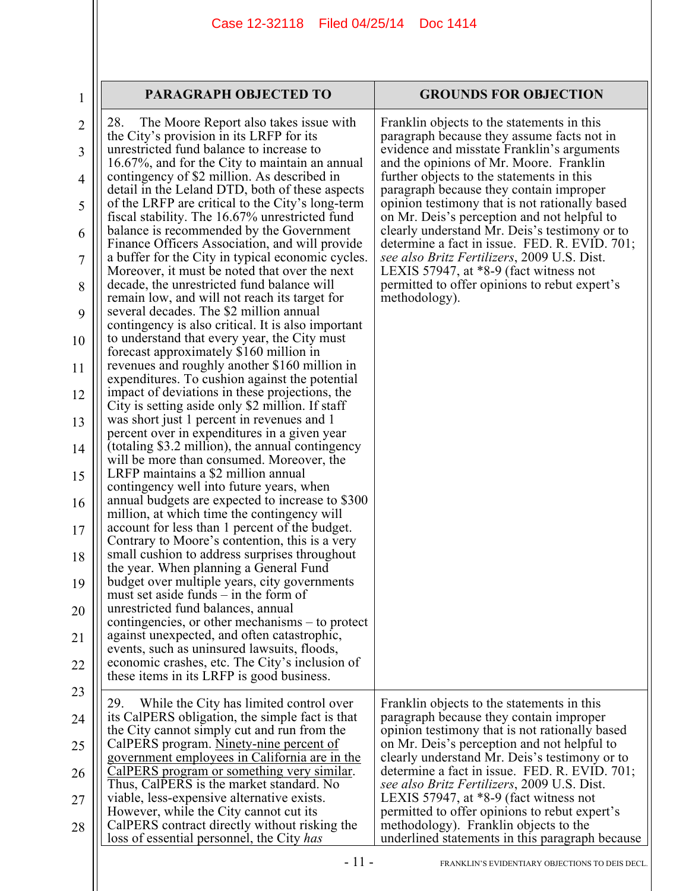| $\mathbf{1}$        | PARAGRAPH OBJECTED TO                                                                                                                                 | <b>GROUNDS FOR OBJECTION</b>                                                                                                             |
|---------------------|-------------------------------------------------------------------------------------------------------------------------------------------------------|------------------------------------------------------------------------------------------------------------------------------------------|
| $\overline{2}$<br>3 | 28.<br>The Moore Report also takes issue with<br>the City's provision in its LRFP for its<br>unrestricted fund balance to increase to                 | Franklin objects to the statements in this<br>paragraph because they assume facts not in<br>evidence and misstate Franklin's arguments   |
| 4                   | 16.67%, and for the City to maintain an annual<br>contingency of \$2 million. As described in                                                         | and the opinions of Mr. Moore. Franklin<br>further objects to the statements in this                                                     |
| 5                   | detail in the Leland DTD, both of these aspects<br>of the LRFP are critical to the City's long-term<br>fiscal stability. The 16.67% unrestricted fund | paragraph because they contain improper<br>opinion testimony that is not rationally based<br>on Mr. Deis's perception and not helpful to |
| 6                   | balance is recommended by the Government<br>Finance Officers Association, and will provide                                                            | clearly understand Mr. Deis's testimony or to<br>determine a fact in issue. FED. R. EVID. 701;                                           |
| $\overline{7}$      | a buffer for the City in typical economic cycles.<br>Moreover, it must be noted that over the next                                                    | see also Britz Fertilizers, 2009 U.S. Dist.<br>LEXIS 57947, at $*8-9$ (fact witness not                                                  |
| 8                   | decade, the unrestricted fund balance will<br>remain low, and will not reach its target for                                                           | permitted to offer opinions to rebut expert's<br>methodology).                                                                           |
| 9                   | several decades. The \$2 million annual<br>contingency is also critical. It is also important                                                         |                                                                                                                                          |
| 10                  | to understand that every year, the City must<br>forecast approximately \$160 million in                                                               |                                                                                                                                          |
| 11                  | revenues and roughly another \$160 million in<br>expenditures. To cushion against the potential                                                       |                                                                                                                                          |
| 12                  | impact of deviations in these projections, the<br>City is setting aside only \$2 million. If staff                                                    |                                                                                                                                          |
| 13                  | was short just 1 percent in revenues and 1<br>percent over in expenditures in a given year                                                            |                                                                                                                                          |
| 14                  | (totaling \$3.2 million), the annual contingency<br>will be more than consumed. Moreover, the                                                         |                                                                                                                                          |
| 15                  | LRFP maintains a \$2 million annual<br>contingency well into future years, when                                                                       |                                                                                                                                          |
| 16                  | annual budgets are expected to increase to \$300<br>million, at which time the contingency will                                                       |                                                                                                                                          |
| 17                  | account for less than 1 percent of the budget.<br>Contrary to Moore's contention, this is a very                                                      |                                                                                                                                          |
| 18                  | small cushion to address surprises throughout<br>the year. When planning a General Fund                                                               |                                                                                                                                          |
| 19                  | budget over multiple years, city governments<br>must set aside funds $-$ in the form of                                                               |                                                                                                                                          |
| 20                  | unrestricted fund balances, annual<br>contingencies, or other mechanisms – to protect                                                                 |                                                                                                                                          |
| 21                  | against unexpected, and often catastrophic,<br>events, such as uninsured lawsuits, floods,                                                            |                                                                                                                                          |
| 22                  | economic crashes, etc. The City's inclusion of<br>these items in its LRFP is good business.                                                           |                                                                                                                                          |
| 23                  | 29.<br>While the City has limited control over                                                                                                        | Franklin objects to the statements in this                                                                                               |
| 24                  | its CalPERS obligation, the simple fact is that<br>the City cannot simply cut and run from the                                                        | paragraph because they contain improper<br>opinion testimony that is not rationally based                                                |
| 25                  | CalPERS program. Ninety-nine percent of<br>government employees in California are in the                                                              | on Mr. Deis's perception and not helpful to<br>clearly understand Mr. Deis's testimony or to                                             |
| 26                  | <u>CalPERS program or something very similar</u> .<br>Thus, CalPERS is the market standard. No                                                        | determine a fact in issue. FED. R. EVID. 701;<br>see also Britz Fertilizers, 2009 U.S. Dist.                                             |
| 27                  | viable, less-expensive alternative exists.<br>However, while the City cannot cut its                                                                  | LEXIS 57947, at $*8-9$ (fact witness not<br>permitted to offer opinions to rebut expert's                                                |
| 28                  | CalPERS contract directly without risking the<br>loss of essential personnel, the City has                                                            | methodology). Franklin objects to the<br>underlined statements in this paragraph because                                                 |
|                     |                                                                                                                                                       |                                                                                                                                          |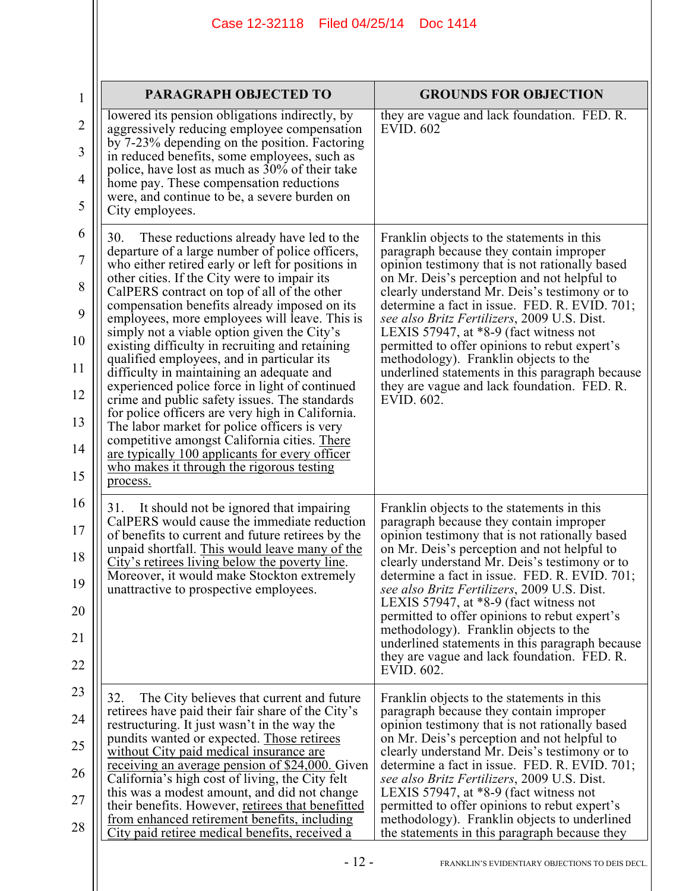| $\mathbf{1}$   | <b>PARAGRAPH OBJECTED TO</b>                                                                                                                       | <b>GROUNDS FOR OBJECTION</b>                                                                                                                                                                           |  |  |  |
|----------------|----------------------------------------------------------------------------------------------------------------------------------------------------|--------------------------------------------------------------------------------------------------------------------------------------------------------------------------------------------------------|--|--|--|
| 2              | lowered its pension obligations indirectly, by<br>aggressively reducing employee compensation<br>by 7-23% depending on the position. Factoring     | they are vague and lack foundation. FED. R.<br><b>EVID. 602</b>                                                                                                                                        |  |  |  |
| 3              | in reduced benefits, some employees, such as<br>police, have lost as much as 30% of their take                                                     |                                                                                                                                                                                                        |  |  |  |
| 4<br>5         | home pay. These compensation reductions<br>were, and continue to be, a severe burden on<br>City employees.                                         |                                                                                                                                                                                                        |  |  |  |
| 6              | 30.<br>These reductions already have led to the                                                                                                    | Franklin objects to the statements in this                                                                                                                                                             |  |  |  |
| $\overline{7}$ | departure of a large number of police officers,<br>who either retired early or left for positions in                                               | paragraph because they contain improper<br>opinion testimony that is not rationally based                                                                                                              |  |  |  |
| 8              | other cities. If the City were to impair its<br>CalPERS contract on top of all of the other<br>compensation benefits already imposed on its        | on Mr. Deis's perception and not helpful to<br>clearly understand Mr. Deis's testimony or to<br>determine a fact in issue. FED. R. EVID. 701;                                                          |  |  |  |
| 9<br>10        | employees, more employees will leave. This is<br>simply not a viable option given the City's                                                       | see also Britz Fertilizers, 2009 U.S. Dist.<br>LEXIS 57947, at $*8-9$ (fact witness not                                                                                                                |  |  |  |
| 11             | existing difficulty in recruiting and retaining<br>qualified employees, and in particular its<br>difficulty in maintaining an adequate and         | permitted to offer opinions to rebut expert's<br>methodology). Franklin objects to the<br>underlined statements in this paragraph because<br>they are vague and lack foundation. FED. R.<br>EVID. 602. |  |  |  |
| 12             | experienced police force in light of continued<br>crime and public safety issues. The standards                                                    |                                                                                                                                                                                                        |  |  |  |
| 13             | for police officers are very high in California.<br>The labor market for police officers is very                                                   |                                                                                                                                                                                                        |  |  |  |
| 14             | competitive amongst California cities. There<br>are typically 100 applicants for every officer                                                     |                                                                                                                                                                                                        |  |  |  |
| 15             | who makes it through the rigorous testing<br>process.                                                                                              |                                                                                                                                                                                                        |  |  |  |
| 16             | It should not be ignored that impairing<br>31.<br>CalPERS would cause the immediate reduction                                                      | Franklin objects to the statements in this<br>paragraph because they contain improper                                                                                                                  |  |  |  |
| 17<br>18       | of benefits to current and future retirees by the<br>unpaid shortfall. This would leave many of the                                                | opinion testimony that is not rationally based<br>on Mr. Deis's perception and not helpful to                                                                                                          |  |  |  |
| 19             | <u>City's retirees living below the poverty line</u> .<br>Moreover, it would make Stockton extremely                                               | clearly understand Mr. Deis's testimony or to<br>determine a fact in issue. FED, R. EVID, 701:                                                                                                         |  |  |  |
| 20             | unattractive to prospective employees.                                                                                                             | see also Britz Fertilizers, 2009 U.S. Dist.<br>LEXIS 57947, at $*8-9$ (fact witness not<br>permitted to offer opinions to rebut expert's                                                               |  |  |  |
| 21             |                                                                                                                                                    | methodology). Franklin objects to the<br>underlined statements in this paragraph because                                                                                                               |  |  |  |
| 22             |                                                                                                                                                    | they are vague and lack foundation. FED. R.<br>EVID. 602.                                                                                                                                              |  |  |  |
| 23             | The City believes that current and future<br>32.                                                                                                   | Franklin objects to the statements in this                                                                                                                                                             |  |  |  |
| 24             | retirees have paid their fair share of the City's<br>restructuring. It just wasn't in the way the                                                  | paragraph because they contain improper<br>opinion testimony that is not rationally based                                                                                                              |  |  |  |
| 25             | pundits wanted or expected. Those retirees<br>without City paid medical insurance are                                                              | on Mr. Deis's perception and not helpful to<br>clearly understand Mr. Deis's testimony or to                                                                                                           |  |  |  |
| 26             | receiving an average pension of \$24,000. Given<br>California's high cost of living, the City felt<br>this was a modest amount, and did not change | determine a fact in issue. FED. R. EVID. 701;<br>see also Britz Fertilizers, 2009 U.S. Dist.<br>LEXIS 57947, at $*8-9$ (fact witness not                                                               |  |  |  |
| 27             | their benefits. However, retirees that benefitted<br>from enhanced retirement benefits, including                                                  | permitted to offer opinions to rebut expert's<br>methodology). Franklin objects to underlined                                                                                                          |  |  |  |
| 28             | City paid retiree medical benefits, received a                                                                                                     | the statements in this paragraph because they                                                                                                                                                          |  |  |  |
|                |                                                                                                                                                    |                                                                                                                                                                                                        |  |  |  |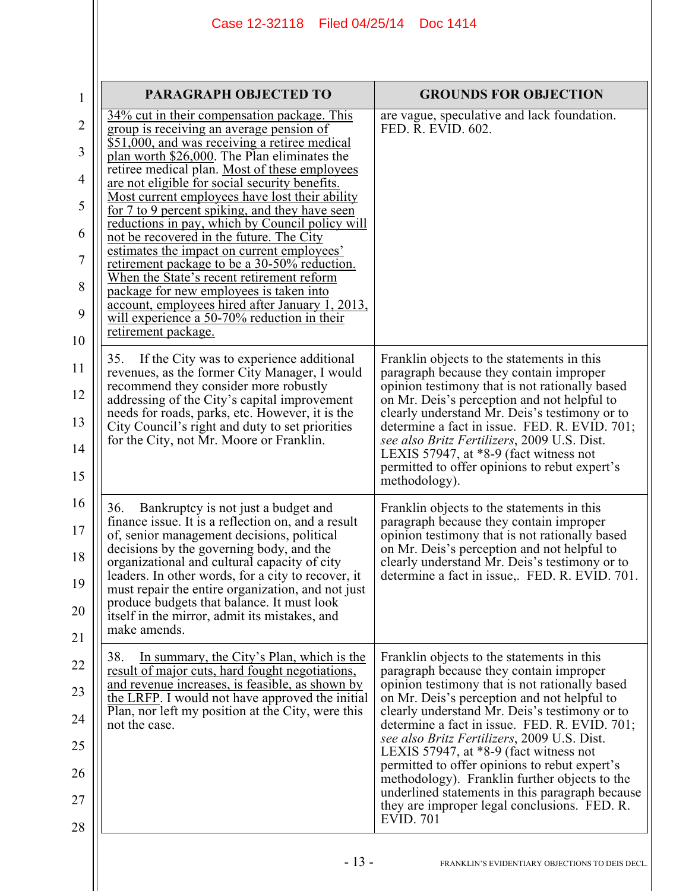| <b>GROUNDS FOR OBJECTION</b>                                                                                                                                                                                                                                                                                                                                                                                                                                                                                                                                                                                 |  |  |  |
|--------------------------------------------------------------------------------------------------------------------------------------------------------------------------------------------------------------------------------------------------------------------------------------------------------------------------------------------------------------------------------------------------------------------------------------------------------------------------------------------------------------------------------------------------------------------------------------------------------------|--|--|--|
| are vague, speculative and lack foundation.<br>FED. R. EVID. 602.                                                                                                                                                                                                                                                                                                                                                                                                                                                                                                                                            |  |  |  |
| Franklin objects to the statements in this<br>paragraph because they contain improper<br>opinion testimony that is not rationally based<br>on Mr. Deis's perception and not helpful to<br>clearly understand Mr. Deis's testimony or to<br>determine a fact in issue. FED. R. EVID. 701;<br>see also Britz Fertilizers, 2009 U.S. Dist.<br>LEXIS 57947, at $*8-9$ (fact witness not<br>permitted to offer opinions to rebut expert's<br>methodology).                                                                                                                                                        |  |  |  |
| Franklin objects to the statements in this<br>paragraph because they contain improper<br>opinion testimony that is not rationally based<br>on Mr. Deis's perception and not helpful to<br>clearly understand Mr. Deis's testimony or to<br>determine a fact in issue, FED. R. EVID. 701.                                                                                                                                                                                                                                                                                                                     |  |  |  |
| Franklin objects to the statements in this<br>paragraph because they contain improper<br>opinion testimony that is not rationally based<br>on Mr. Deis's perception and not helpful to<br>clearly understand Mr. Deis's testimony or to<br>determine a fact in issue. FED. R. EVID. 701;<br>see also Britz Fertilizers, 2009 U.S. Dist.<br>LEXIS 57947, at $*8-9$ (fact witness not<br>permitted to offer opinions to rebut expert's<br>methodology). Franklin further objects to the<br>underlined statements in this paragraph because<br>they are improper legal conclusions. FED. R.<br><b>EVID. 701</b> |  |  |  |
| reductions in pay, which by Council policy will<br>account, employees hired after January 1, 2013,<br>the LRFP. I would not have approved the initial                                                                                                                                                                                                                                                                                                                                                                                                                                                        |  |  |  |